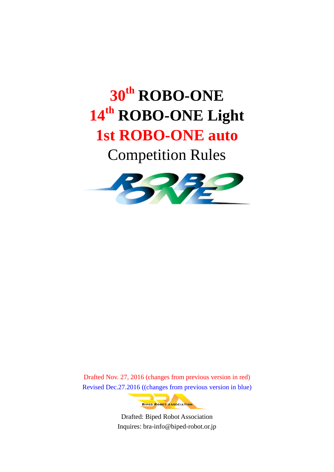# **30 th ROBO-ONE 14th ROBO-ONE Light**

## **1st ROBO-ONE auto**

Competition Rules



Drafted Nov. 27, 2016 (changes from previous version in red) Revised Dec.27.2016 ((changes from previous version in blue)



Drafted: Biped Robot Association Inquires: bra-info@biped-robot.or.jp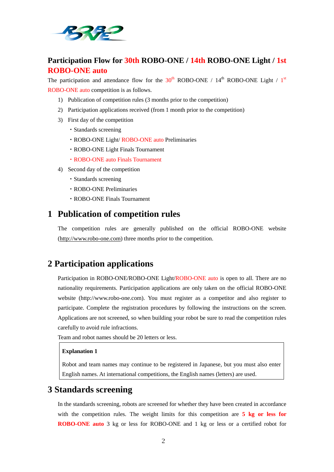

### **Participation Flow for 30th ROBO-ONE / 14th ROBO-ONE Light / 1st ROBO-ONE auto**

The participation and attendance flow for the  $30<sup>th</sup>$  ROBO-ONE / 14<sup>th</sup> ROBO-ONE Light / 1<sup>st</sup> ROBO-ONE auto competition is as follows.

- 1) Publication of competition rules (3 months prior to the competition)
- 2) Participation applications received (from 1 month prior to the competition)
- 3) First day of the competition
	- ・Standards screening
	- ・ROBO-ONE Light/ ROBO-ONE auto Preliminaries
	- ・ROBO-ONE Light Finals Tournament
	- ・ROBO-ONE auto Finals Tournament
- 4) Second day of the competition
	- ・Standards screening
	- ・ROBO-ONE Preliminaries
	- ・ROBO-ONE Finals Tournament

## **1 Publication of competition rules**

The competition rules are generally published on the official ROBO-ONE website [\(http://www.robo-one.com\)](http://www.robo-one.com/) three months prior to the competition.

## **2 Participation applications**

Participation in ROBO-ONE/ROBO-ONE Light/ROBO-ONE auto is open to all. There are no nationality requirements. Participation applications are only taken on the official ROBO-ONE website (http://www.robo-one.com). You must register as a competitor and also register to participate. Complete the registration procedures by following the instructions on the screen. Applications are not screened, so when building your robot be sure to read the competition rules carefully to avoid rule infractions.

Team and robot names should be 20 letters or less.

#### **Explanation 1**

Robot and team names may continue to be registered in Japanese, but you must also enter English names. At international competitions, the English names (letters) are used.

## **3 Standards screening**

In the standards screening, robots are screened for whether they have been created in accordance with the competition rules. The weight limits for this competition are **5 kg or less for ROBO-ONE auto** 3 kg or less for ROBO-ONE and 1 kg or less or a certified robot for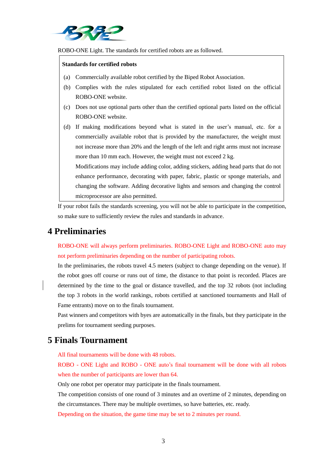

ROBO-ONE Light. The standards for certified robots are as followed.

#### **Standards for certified robots**

- (a) Commercially available robot certified by the Biped Robot Association.
- (b) Complies with the rules stipulated for each certified robot listed on the official ROBO-ONE website.
- (c) Does not use optional parts other than the certified optional parts listed on the official ROBO-ONE website.
- (d) If making modifications beyond what is stated in the user's manual, etc. for a commercially available robot that is provided by the manufacturer, the weight must not increase more than 20% and the length of the left and right arms must not increase more than 10 mm each. However, the weight must not exceed 2 kg.

Modifications may include adding color, adding stickers, adding head parts that do not enhance performance, decorating with paper, fabric, plastic or sponge materials, and changing the software. Adding decorative lights and sensors and changing the control microprocessor are also permitted.

If your robot fails the standards screening, you will not be able to participate in the competition, so make sure to sufficiently review the rules and standards in advance.

## **4 Preliminaries**

ROBO-ONE will always perform preliminaries. ROBO-ONE Light and ROBO-ONE auto may not perform preliminaries depending on the number of participating robots.

In the preliminaries, the robots travel 4.5 meters (subject to change depending on the venue). If the robot goes off course or runs out of time, the distance to that point is recorded. Places are determined by the time to the goal or distance travelled, and the top 32 robots (not including the top 3 robots in the world rankings, robots certified at sanctioned tournaments and Hall of Fame entrants) move on to the finals tournament.

Past winners and competitors with byes are automatically in the finals, but they participate in the prelims for tournament seeding purposes.

## **5 Finals Tournament**

All final tournaments will be done with 48 robots.

ROBO - ONE Light and ROBO - ONE auto's final tournament will be done with all robots when the number of participants are lower than 64.

Only one robot per operator may participate in the finals tournament.

The competition consists of one round of 3 minutes and an overtime of 2 minutes, depending on the circumstances. There may be multiple overtimes, so have batteries, etc. ready.

Depending on the situation, the game time may be set to 2 minutes per round.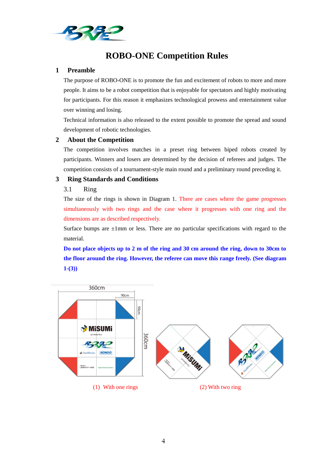

## **ROBO-ONE Competition Rules**

#### **1 Preamble**

The purpose of ROBO-ONE is to promote the fun and excitement of robots to more and more people. It aims to be a robot competition that is enjoyable for spectators and highly motivating for participants. For this reason it emphasizes technological prowess and entertainment value over winning and losing.

Technical information is also released to the extent possible to promote the spread and sound development of robotic technologies.

#### **2 About the Competition**

The competition involves matches in a preset ring between biped robots created by participants. Winners and losers are determined by the decision of referees and judges. The competition consists of a tournament-style main round and a preliminary round preceding it.

#### **3 Ring Standards and Conditions**

#### 3.1 Ring

The size of the rings is shown in Diagram 1. There are cases where the game progresses simultaneously with two rings and the case where it progresses with one ring and the dimensions are as described respectively.

Surface bumps are  $\pm 1$ mm or less. There are no particular specifications with regard to the material.

**Do not place objects up to 2 m of the ring and 30 cm around the ring, down to 30cm to the floor around the ring. However, the referee can move this range freely. (See diagram 1-(3))**

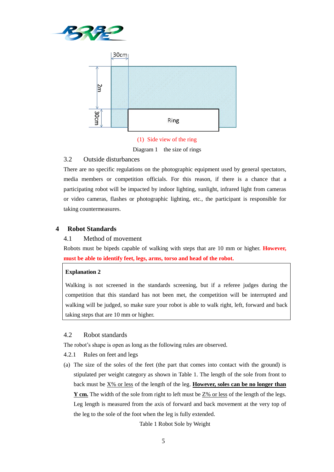



(1) Side view of the ring Diagram 1 the size of rings

#### 3.2 Outside disturbances

There are no specific regulations on the photographic equipment used by general spectators, media members or competition officials. For this reason, if there is a chance that a participating robot will be impacted by indoor lighting, sunlight, infrared light from cameras or video cameras, flashes or photographic lighting, etc., the participant is responsible for taking countermeasures.

#### **4 Robot Standards**

#### 4.1 Method of movement

Robots must be bipeds capable of walking with steps that are 10 mm or higher. **However, must be able to identify feet, legs, arms, torso and head of the robot.**

#### **Explanation 2**

Walking is not screened in the standards screening, but if a referee judges during the competition that this standard has not been met, the competition will be interrupted and walking will be judged, so make sure your robot is able to walk right, left, forward and back taking steps that are 10 mm or higher.

#### 4.2 Robot standards

The robot's shape is open as long as the following rules are observed.

- 4.2.1 Rules on feet and legs
- (a) The size of the soles of the feet (the part that comes into contact with the ground) is stipulated per weight category as shown in Table 1. The length of the sole from front to back must be X% or less of the length of the leg. **However, soles can be no longer than Y** cm. The width of the sole from right to left must be  $Z\%$  or less of the length of the legs. Leg length is measured from the axis of forward and back movement at the very top of the leg to the sole of the foot when the leg is fully extended.

Table 1 Robot Sole by Weight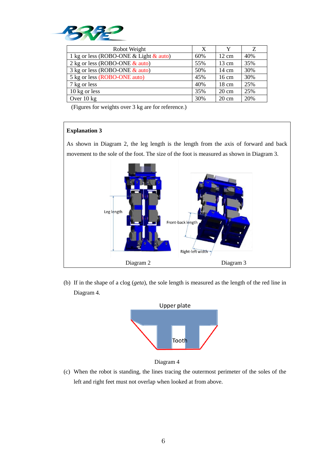

| Robot Weight                              | X   |                 | Z   |
|-------------------------------------------|-----|-----------------|-----|
| 1 kg or less (ROBO-ONE & Light $\&$ auto) | 60% | $12 \text{ cm}$ | 40% |
| 2 kg or less (ROBO-ONE $\&$ auto)         | 55% | $13 \text{ cm}$ | 35% |
| 3 kg or less (ROBO-ONE $&$ auto)          | 50% | $14 \text{ cm}$ | 30% |
| 5 kg or less (ROBO-ONE auto)              | 45% | $16 \text{ cm}$ | 30% |
| 7 kg or less                              | 40% | $18 \text{ cm}$ | 25% |
| 10 kg or less                             | 35% | $20 \text{ cm}$ | 25% |
| Over $10 \text{ kg}$                      | 30% | $20 \text{ cm}$ | 20% |

(Figures for weights over 3 kg are for reference.)

#### **Explanation 3**

As shown in Diagram 2, the leg length is the length from the axis of forward and back movement to the sole of the foot. The size of the foot is measured as shown in Diagram 3.



(b) If in the shape of a clog (*geta*), the sole length is measured as the length of the red line in Diagram 4.





(c) When the robot is standing, the lines tracing the outermost perimeter of the soles of the left and right feet must not overlap when looked at from above.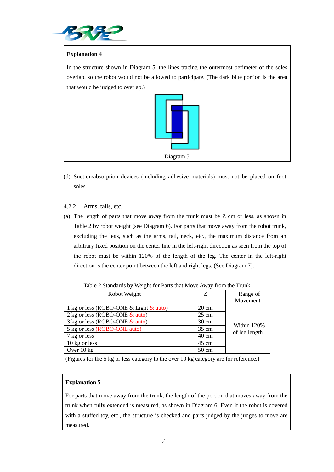

#### **Explanation 4**

In the structure shown in Diagram 5, the lines tracing the outermost perimeter of the soles overlap, so the robot would not be allowed to participate. (The dark blue portion is the area that would be judged to overlap.)



- (d) Suction/absorption devices (including adhesive materials) must not be placed on foot soles.
- 4.2.2 Arms, tails, etc.
- (a) The length of parts that move away from the trunk must be Z cm or less, as shown in Table 2 by robot weight (see Diagram 6). For parts that move away from the robot trunk, excluding the legs, such as the arms, tail, neck, etc., the maximum distance from an arbitrary fixed position on the center line in the left-right direction as seen from the top of the robot must be within 120% of the length of the leg. The center in the left-right direction is the center point between the left and right legs. (See Diagram 7).

| Robot Weight                              | Z               | Range of                     |  |
|-------------------------------------------|-----------------|------------------------------|--|
|                                           |                 | Movement                     |  |
| 1 kg or less (ROBO-ONE & Light $\&$ auto) | $20 \text{ cm}$ | Within 120%<br>of leg length |  |
| 2 kg or less (ROBO-ONE $&$ auto)          | $25 \text{ cm}$ |                              |  |
| 3 kg or less (ROBO-ONE $&$ auto)          | $30 \text{ cm}$ |                              |  |
| 5 kg or less (ROBO-ONE auto)              | $35 \text{ cm}$ |                              |  |
| 7 kg or less                              | $40 \text{ cm}$ |                              |  |
| 10 kg or less                             | 45 cm           |                              |  |
| Over $10 \text{ kg}$                      | $50 \text{ cm}$ |                              |  |

Table 2 Standards by Weight for Parts that Move Away from the Trunk

(Figures for the 5 kg or less category to the over 10 kg category are for reference.)

#### **Explanation 5**

For parts that move away from the trunk, the length of the portion that moves away from the trunk when fully extended is measured, as shown in Diagram 6. Even if the robot is covered with a stuffed toy, etc., the structure is checked and parts judged by the judges to move are measured.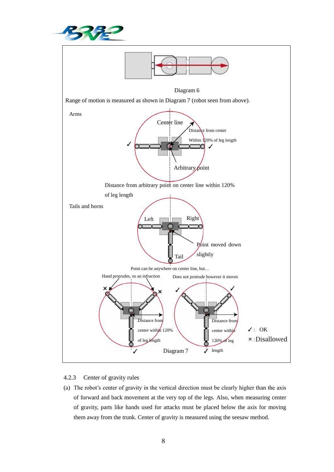



#### 4.2.3 Center of gravity rules

(a) The robot's center of gravity in the vertical direction must be clearly higher than the axis of forward and back movement at the very top of the legs. Also, when measuring center of gravity, parts like hands used for attacks must be placed below the axis for moving them away from the trunk. Center of gravity is measured using the seesaw method.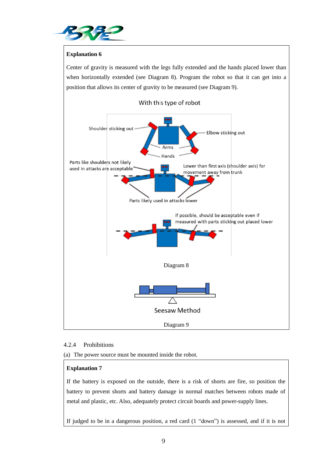

#### **Explanation 6**

Center of gravity is measured with the legs fully extended and the hands placed lower than when horizontally extended (see Diagram 8). Program the robot so that it can get into a position that allows its center of gravity to be measured (see Diagram 9).



#### 4.2.4 Prohibitions

(a) The power source must be mounted inside the robot.

#### **Explanation 7**

If the battery is exposed on the outside, there is a risk of shorts are fire, so position the battery to prevent shorts and battery damage in normal matches between robots made of metal and plastic, etc. Also, adequately protect circuit boards and power-supply lines.

If judged to be in a dangerous position, a red card (1 "down") is assessed, and if it is not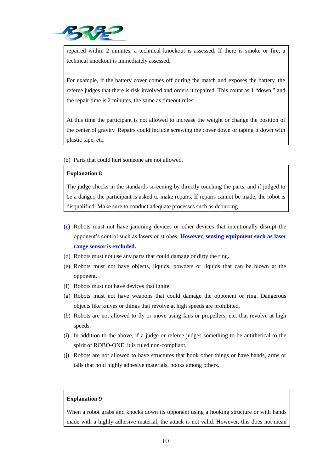

repaired within 2 minutes, a technical knockout is assessed. If there is smoke or fire, a technical knockout is immediately assessed.

For example, if the battery cover comes off during the match and exposes the battery, the referee judges that there is risk involved and orders it repaired. This count as 1 "down," and the repair time is 2 minutes, the same as timeout rules.

At this time the participant is not allowed to increase the weight or change the position of the center of gravity. Repairs could include screwing the cover down or taping it down with plastic tape, etc.

(b) Parts that could hurt someone are not allowed.

#### **Explanation 8**

The judge checks in the standards screening by directly touching the parts, and if judged to be a danger, the participant is asked to make repairs. If repairs cannot be made, the robot is disqualified. Make sure to conduct adequate processes such as deburring.

- **(c)** Robots must not have jamming devices or other devices that intentionally disrupt the opponent's control such as lasers or strobes. **However, sensing equipment such as laser range sensor is excluded.**
- (d) Robots must not use any parts that could damage or dirty the ring.
- (e) Robots must not have objects, liquids, powders or liquids that can be blown at the opponent.
- (f) Robots must not have devices that ignite.
- (g) Robots must not have weapons that could damage the opponent or ring. Dangerous objects like knives or things that revolve at high speeds are prohibited.
- (h) Robots are not allowed to fly or move using fans or propellers, etc. that revolve at high speeds.
- (i) In addition to the above, if a judge or referee judges something to be antithetical to the spirit of ROBO-ONE, it is ruled non-compliant.
- (j) Robots are not allowed to have structures that hook other things or have hands, arms or tails that hold highly adhesive materials, hooks among others.

#### **Explanation 9**

When a robot grabs and knocks down its opponent using a hooking structure or with hands made with a highly adhesive material, the attack is not valid. However, this does not mean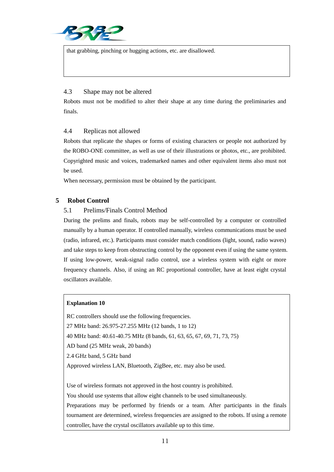

that grabbing, pinching or hugging actions, etc. are disallowed.

#### 4.3 Shape may not be altered

Robots must not be modified to alter their shape at any time during the preliminaries and finals.

#### 4.4 Replicas not allowed

Robots that replicate the shapes or forms of existing characters or people not authorized by the ROBO-ONE committee, as well as use of their illustrations or photos, etc., are prohibited. Copyrighted music and voices, trademarked names and other equivalent items also must not be used.

When necessary, permission must be obtained by the participant.

#### **5 Robot Control**

#### 5.1 Prelims/Finals Control Method

During the prelims and finals, robots may be self-controlled by a computer or controlled manually by a human operator. If controlled manually, wireless communications must be used (radio, infrared, etc.). Participants must consider match conditions (light, sound, radio waves) and take steps to keep from obstructing control by the opponent even if using the same system. If using low-power, weak-signal radio control, use a wireless system with eight or more frequency channels. Also, if using an RC proportional controller, have at least eight crystal oscillators available.

#### **Explanation 10**

RC controllers should use the following frequencies.

27 MHz band: 26.975-27.255 MHz (12 bands, 1 to 12)

40 MHz band: 40.61-40.75 MHz (8 bands, 61, 63, 65, 67, 69, 71, 73, 75)

AD band (25 MHz weak, 20 bands)

2.4 GHz band, 5 GHz band

Approved wireless LAN, Bluetooth, ZigBee, etc. may also be used.

Use of wireless formats not approved in the host country is prohibited.

You should use systems that allow eight channels to be used simultaneously.

Preparations may be performed by friends or a team. After participants in the finals tournament are determined, wireless frequencies are assigned to the robots. If using a remote controller, have the crystal oscillators available up to this time.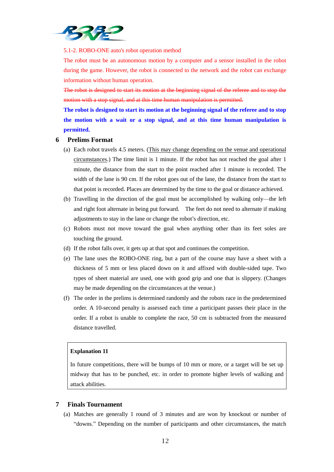

5.1-2. ROBO-ONE auto's robot operation method

The robot must be an autonomous motion by a computer and a sensor installed in the robot during the game. However, the robot is connected to the network and the robot can exchange information without human operation.

The robot is designed to start its motion at the beginning signal of the referee and to stop the motion with a stop signal, and at this time human manipulation is permitted.

**The robot is designed to start its motion at the beginning signal of the referee and to stop the motion with a wait or a stop signal, and at this time human manipulation is permitted.**

#### **6 Prelims Format**

- (a) Each robot travels 4.5 meters. (This may change depending on the venue and operational circumstances.) The time limit is 1 minute. If the robot has not reached the goal after 1 minute, the distance from the start to the point reached after 1 minute is recorded. The width of the lane is 90 cm. If the robot goes out of the lane, the distance from the start to that point is recorded. Places are determined by the time to the goal or distance achieved.
- (b) Travelling in the direction of the goal must be accomplished by walking only—the left and right foot alternate in being put forward. The feet do not need to alternate if making adjustments to stay in the lane or change the robot's direction, etc.
- (c) Robots must not move toward the goal when anything other than its feet soles are touching the ground.
- (d) If the robot falls over, it gets up at that spot and continues the competition.
- (e) The lane uses the ROBO-ONE ring, but a part of the course may have a sheet with a thickness of 5 mm or less placed down on it and affixed with double-sided tape. Two types of sheet material are used, one with good grip and one that is slippery. (Changes may be made depending on the circumstances at the venue.)
- (f) The order in the prelims is determined randomly and the robots race in the predetermined order. A 10-second penalty is assessed each time a participant passes their place in the order. If a robot is unable to complete the race, 50 cm is subtracted from the measured distance travelled.

#### **Explanation 11**

In future competitions, there will be bumps of 10 mm or more, or a target will be set up midway that has to be punched, etc. in order to promote higher levels of walking and attack abilities.

#### **7 Finals Tournament**

(a) Matches are generally 1 round of 3 minutes and are won by knockout or number of "downs." Depending on the number of participants and other circumstances, the match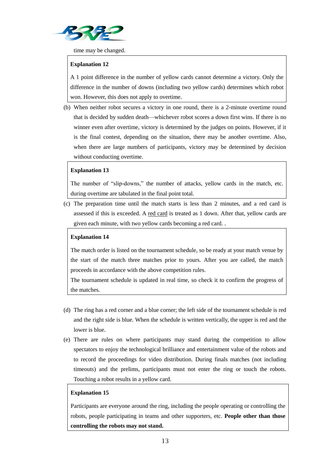

time may be changed.

#### **Explanation 12**

A 1 point difference in the number of yellow cards cannot determine a victory. Only the difference in the number of downs (including two yellow cards) determines which robot won. However, this does not apply to overtime.

(b) When neither robot secures a victory in one round, there is a 2-minute overtime round that is decided by sudden death—whichever robot scores a down first wins. If there is no winner even after overtime, victory is determined by the judges on points. However, if it is the final contest, depending on the situation, there may be another overtime. Also, when there are large numbers of participants, victory may be determined by decision without conducting overtime.

#### **Explanation 13**

The number of "slip-downs," the number of attacks, yellow cards in the match, etc. during overtime are tabulated in the final point total.

(c) The preparation time until the match starts is less than 2 minutes, and a red card is assessed if this is exceeded. A red card is treated as 1 down. After that, yellow cards are given each minute, with two yellow cards becoming a red card. .

#### **Explanation 14**

The match order is listed on the tournament schedule, so be ready at your match venue by the start of the match three matches prior to yours. After you are called, the match proceeds in accordance with the above competition rules.

The tournament schedule is updated in real time, so check it to confirm the progress of the matches.

- (d) The ring has a red corner and a blue corner; the left side of the tournament schedule is red and the right side is blue. When the schedule is written vertically, the upper is red and the lower is blue.
- (e) There are rules on where participants may stand during the competition to allow spectators to enjoy the technological brilliance and entertainment value of the robots and to record the proceedings for video distribution. During finals matches (not including timeouts) and the prelims, participants must not enter the ring or touch the robots. Touching a robot results in a yellow card.

#### **Explanation 15**

Participants are everyone around the ring, including the people operating or controlling the robots, people participating in teams and other supporters, etc. **People other than those controlling the robots may not stand.**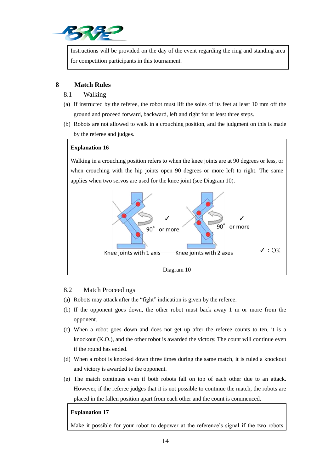

Instructions will be provided on the day of the event regarding the ring and standing area for competition participants in this tournament.

#### **8 Match Rules**

- 8.1 Walking
- (a) If instructed by the referee, the robot must lift the soles of its feet at least 10 mm off the ground and proceed forward, backward, left and right for at least three steps.
- (b) Robots are not allowed to walk in a crouching position, and the judgment on this is made by the referee and judges.

#### **Explanation 16**

Walking in a crouching position refers to when the knee joints are at 90 degrees or less, or when crouching with the hip joints open 90 degrees or more left to right. The same applies when two servos are used for the knee joint (see Diagram 10).



#### 8.2 Match Proceedings

- (a) Robots may attack after the "fight" indication is given by the referee.
- (b) If the opponent goes down, the other robot must back away 1 m or more from the opponent.
- (c) When a robot goes down and does not get up after the referee counts to ten, it is a knockout (K.O.), and the other robot is awarded the victory. The count will continue even if the round has ended.
- (d) When a robot is knocked down three times during the same match, it is ruled a knockout and victory is awarded to the opponent.
- (e) The match continues even if both robots fall on top of each other due to an attack. However, if the referee judges that it is not possible to continue the match, the robots are placed in the fallen position apart from each other and the count is commenced.

#### **Explanation 17**

Make it possible for your robot to depower at the reference's signal if the two robots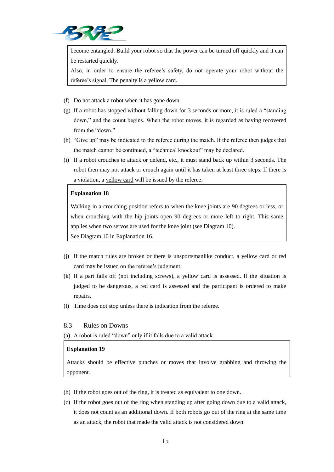

become entangled. Build your robot so that the power can be turned off quickly and it can be restarted quickly.

Also, in order to ensure the referee's safety, do not operate your robot without the referee's signal. The penalty is a yellow card.

- (f) Do not attack a robot when it has gone down.
- (g) If a robot has stopped without falling down for 3 seconds or more, it is ruled a "standing down," and the count begins. When the robot moves, it is regarded as having recovered from the "down."
- (h) "Give up" may be indicated to the referee during the match. If the referee then judges that the match cannot be continued, a "technical knockout" may be declared.
- (i) If a robot crouches to attack or defend, etc., it must stand back up within 3 seconds. The robot then may not attack or crouch again until it has taken at least three steps. If there is a violation, a yellow card will be issued by the referee.

#### **Explanation 18**

Walking in a crouching position refers to when the knee joints are 90 degrees or less, or when crouching with the hip joints open 90 degrees or more left to right. This same applies when two servos are used for the knee joint (see Diagram 10).

See Diagram 10 in Explanation 16.

- (j) If the match rules are broken or there is unsportsmanlike conduct, a yellow card or red card may be issued on the referee's judgment.
- (k) If a part falls off (not including screws), a yellow card is assessed. If the situation is judged to be dangerous, a red card is assessed and the participant is ordered to make repairs.
- (l) Time does not stop unless there is indication from the referee.

#### 8.3 Rules on Downs

(a) A robot is ruled "down" only if it falls due to a valid attack.

#### **Explanation 19**

Attacks should be effective punches or moves that involve grabbing and throwing the opponent.

- (b) If the robot goes out of the ring, it is treated as equivalent to one down.
- (c) If the robot goes out of the ring when standing up after going down due to a valid attack, it does not count as an additional down. If both robots go out of the ring at the same time as an attack, the robot that made the valid attack is not considered down.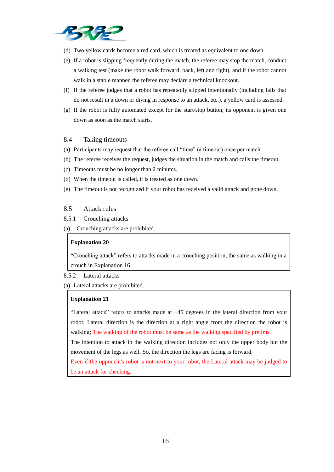

- (d) Two yellow cards become a red card, which is treated as equivalent to one down.
- (e) If a robot is slipping frequently during the match, the referee may stop the match, conduct a walking test (make the robot walk forward, back, left and right), and if the robot cannot walk in a stable manner, the referee may declare a technical knockout.
- (f) If the referee judges that a robot has repeatedly slipped intentionally (including falls that do not result in a down or diving in response to an attack, etc.), a yellow card is assessed.
- (g) If the robot is fully automated except for the start/stop button, its opponent is given one down as soon as the match starts.

#### 8.4 Taking timeouts

- (a) Participants may request that the referee call "time" (a timeout) once per match.
- (b) The referee receives the request, judges the situation in the match and calls the timeout.
- (c) Timeouts must be no longer than 2 minutes.
- (d) When the timeout is called, it is treated as one down.
- (e) The timeout is not recognized if your robot has received a valid attack and gone down.

#### 8.5 Attack rules

- 8.5.1 Crouching attacks
- (a) Crouching attacks are prohibited.

#### **Explanation 20**

"Crouching attack" refers to attacks made in a crouching position, the same as walking in a crouch in Explanation 16.

8.5.2 Lateral attacks

(a) Lateral attacks are prohibited.

#### **Explanation 21**

"Lateral attack" refers to attacks made at  $\pm 45$  degrees in the lateral direction from your robot. Lateral direction is the direction at a right angle from the direction the robot is walking; The walking of the robot must be same as the walking specified by prelims.

The intention to attack in the walking direction includes not only the upper body but the movement of the legs as well. So, the direction the legs are facing is forward.

Even if the opponent's robot is not next to your robot, the Lateral attack may be judged to be an attack for checking.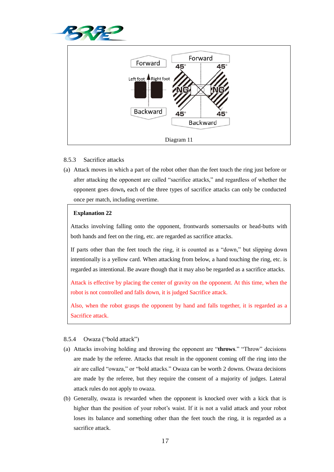



#### 8.5.3 Sacrifice attacks

(a) Attack moves in which a part of the robot other than the feet touch the ring just before or after attacking the opponent are called "sacrifice attacks," and regardless of whether the opponent goes down**,** each of the three types of sacrifice attacks can only be conducted once per match, including overtime.

#### **Explanation 22**

Attacks involving falling onto the opponent, frontwards somersaults or head-butts with both hands and feet on the ring, etc. are regarded as sacrifice attacks.

If parts other than the feet touch the ring, it is counted as a "down," but slipping down intentionally is a yellow card. When attacking from below, a hand touching the ring, etc. is regarded as intentional. Be aware though that it may also be regarded as a sacrifice attacks.

Attack is effective by placing the center of gravity on the opponent. At this time, when the robot is not controlled and falls down, it is judged Sacrifice attack.

Also, when the robot grasps the opponent by hand and falls together, it is regarded as a Sacrifice attack.

#### 8.5.4 Owaza ("bold attack")

- (a) Attacks involving holding and throwing the opponent are "**throws**." "Throw" decisions are made by the referee. Attacks that result in the opponent coming off the ring into the air are called "owaza," or "bold attacks." Owaza can be worth 2 downs. Owaza decisions are made by the referee, but they require the consent of a majority of judges. Lateral attack rules do not apply to owaza.
- (b) Generally, owaza is rewarded when the opponent is knocked over with a kick that is higher than the position of your robot's waist. If it is not a valid attack and your robot loses its balance and something other than the feet touch the ring, it is regarded as a sacrifice attack.